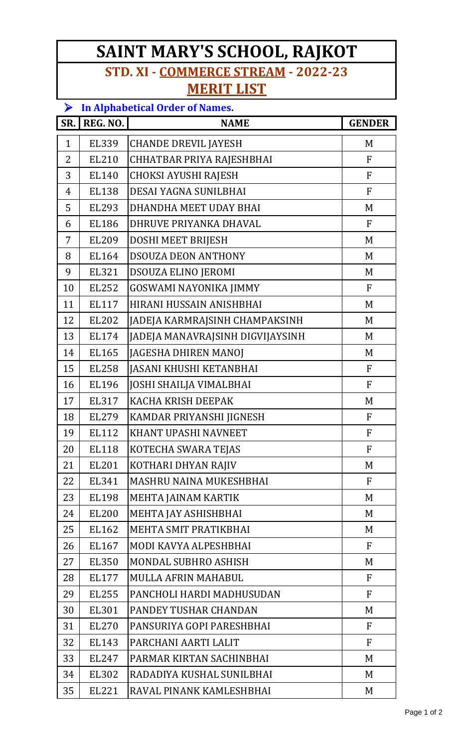## **SAINT MARY'S SCHOOL, RAJKOT STD. XI - COMMERCE STREAM - 2022-23**

## **MERIT LIST**

| $\blacktriangleright$ | <b>In Alphabetical Order of Names.</b> |                                  |                |  |
|-----------------------|----------------------------------------|----------------------------------|----------------|--|
| SR.                   | REG. NO.                               | <b>NAME</b>                      | <b>GENDER</b>  |  |
| $\mathbf{1}$          | EL339                                  | <b>CHANDE DREVIL JAYESH</b>      | M              |  |
| 2                     | EL210                                  | CHHATBAR PRIYA RAJESHBHAI        | F              |  |
| 3                     | EL140                                  | <b>CHOKSI AYUSHI RAJESH</b>      | $\overline{F}$ |  |
| 4                     | <b>EL138</b>                           | DESAI YAGNA SUNILBHAI            | F              |  |
| 5                     | EL293                                  | DHANDHA MEET UDAY BHAI           | M              |  |
| 6                     | <b>EL186</b>                           | DHRUVE PRIYANKA DHAVAL           | F              |  |
| 7                     | EL209                                  | DOSHI MEET BRIJESH               | M              |  |
| 8                     | EL164                                  | DSOUZA DEON ANTHONY              | M              |  |
| 9                     | EL321                                  | DSOUZA ELINO JEROMI              | M              |  |
| 10                    | EL252                                  | GOSWAMI NAYONIKA JIMMY           | F              |  |
| 11                    | <b>EL117</b>                           | HIRANI HUSSAIN ANISHBHAI         | M              |  |
| 12                    | EL202                                  | JADEJA KARMRAJSINH CHAMPAKSINH   | M              |  |
| 13                    | EL174                                  | JADEJA MANAVRAJSINH DIGVIJAYSINH | M              |  |
| 14                    | EL165                                  | JAGESHA DHIREN MANOJ             | M              |  |
| 15                    | <b>EL258</b>                           | <b>JASANI KHUSHI KETANBHAI</b>   | $\mathbf{F}$   |  |
| 16                    | EL196                                  | <b>JOSHI SHAILJA VIMALBHAI</b>   | F              |  |
| 17                    | EL317                                  | <b>KACHA KRISH DEEPAK</b>        | M              |  |
| 18                    | EL279                                  | KAMDAR PRIYANSHI JIGNESH         | $\mathbf{F}$   |  |
| 19                    | <b>EL112</b>                           | KHANT UPASHI NAVNEET             | $\mathbf F$    |  |
| 20                    | <b>EL118</b>                           | KOTECHA SWARA TEJAS              | F              |  |
| 21                    | EL201                                  | KOTHARI DHYAN RAJIV              | M              |  |
| 22                    | EL341                                  | <b>MASHRU NAINA MUKESHBHAI</b>   | F              |  |
| 23                    | EL198                                  | MEHTA JAINAM KARTIK              | M              |  |
| 24                    | <b>EL200</b>                           | MEHTA JAY ASHISHBHAI             | M              |  |
| 25                    | EL162                                  | MEHTA SMIT PRATIKBHAI            | M              |  |
| 26                    | EL167                                  | MODI KAVYA ALPESHBHAI            | F              |  |
| 27                    | EL350                                  | MONDAL SUBHRO ASHISH             | M              |  |
| 28                    | EL177                                  | MULLA AFRIN MAHABUL              | F              |  |
| 29                    | EL255                                  | PANCHOLI HARDI MADHUSUDAN        | F              |  |
| 30                    | EL301                                  | PANDEY TUSHAR CHANDAN            | M              |  |
| 31                    | EL270                                  | PANSURIYA GOPI PARESHBHAI        | F              |  |
| 32                    | EL143                                  | PARCHANI AARTI LALIT             | $\mathbf{F}$   |  |
| 33                    | EL247                                  | PARMAR KIRTAN SACHINBHAI         | M              |  |
| 34                    | EL302                                  | RADADIYA KUSHAL SUNILBHAI        | M              |  |
| 35                    | EL221                                  | RAVAL PINANK KAMLESHBHAI         | M              |  |